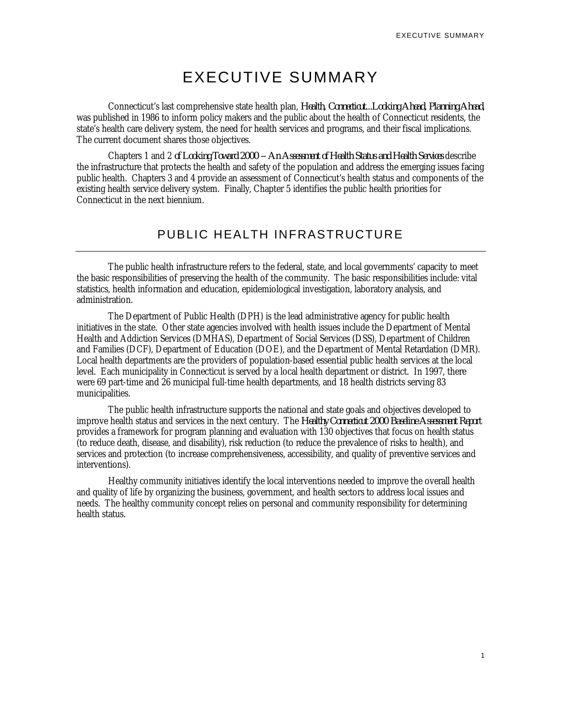# EXECUTIVE SUMMARY

Connecticut's last comprehensive state health plan, *Health, Connecticut...Looking Ahead, Planning Ahead*, was published in 1986 to inform policy makers and the public about the health of Connecticut residents, the state's health care delivery system, the need for health services and programs, and their fiscal implications. The current document shares those objectives.

Chapters 1 and 2 *of Looking Toward 2000 -- An Assessment of Health Status and Health Services* describe the infrastructure that protects the health and safety of the population and address the emerging issues facing public health. Chapters 3 and 4 provide an assessment of Connecticut's health status and components of the existing health service delivery system. Finally, Chapter 5 identifies the public health priorities for Connecticut in the next biennium.

# PUBLIC HEALTH INFRASTRUCTURE

The public health infrastructure refers to the federal, state, and local governments' capacity to meet the basic responsibilities of preserving the health of the community. The basic responsibilities include: vital statistics, health information and education, epidemiological investigation, laboratory analysis, and administration.

The Department of Public Health (DPH) is the lead administrative agency for public health initiatives in the state. Other state agencies involved with health issues include the Department of Mental Health and Addiction Services (DMHAS), Department of Social Services (DSS), Department of Children and Families (DCF), Department of Education (DOE), and the Department of Mental Retardation (DMR). Local health departments are the providers of population-based essential public health services at the local level. Each municipality in Connecticut is served by a local health department or district. In 1997, there were 69 part-time and 26 municipal full-time health departments, and 18 health districts serving 83 municipalities.

The public health infrastructure supports the national and state goals and objectives developed to improve health status and services in the next century. The *Healthy Connecticut 2000 Baseline Assessment Report* provides a framework for program planning and evaluation with 130 objectives that focus on health status (to reduce death, disease, and disability), risk reduction (to reduce the prevalence of risks to health), and services and protection (to increase comprehensiveness, accessibility, and quality of preventive services and interventions).

Healthy community initiatives identify the local interventions needed to improve the overall health and quality of life by organizing the business, government, and health sectors to address local issues and needs. The healthy community concept relies on personal and community responsibility for determining health status.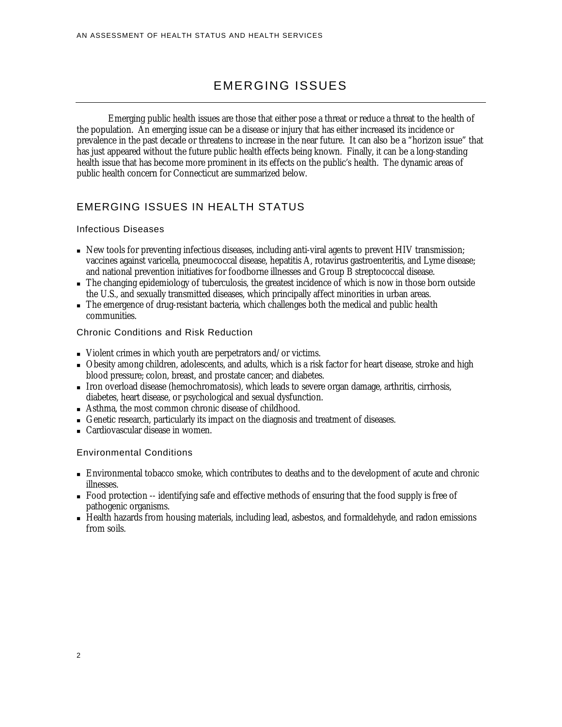# EMERGING ISSUES

Emerging public health issues are those that either pose a threat or reduce a threat to the health of the population. An emerging issue can be a disease or injury that has either increased its incidence or prevalence in the past decade or threatens to increase in the near future. It can also be a "horizon issue" that has just appeared without the future public health effects being known. Finally, it can be a long-standing health issue that has become more prominent in its effects on the public's health. The dynamic areas of public health concern for Connecticut are summarized below.

# EMERGING ISSUES IN HEALTH STATUS

### Infectious Diseases

- <sup>n</sup> New tools for preventing infectious diseases, including anti-viral agents to prevent HIV transmission; vaccines against varicella, pneumococcal disease, hepatitis A, rotavirus gastroenteritis, and Lyme disease; and national prevention initiatives for foodborne illnesses and Group B streptococcal disease.
- <sup>n</sup> The changing epidemiology of tuberculosis, the greatest incidence of which is now in those born outside the U.S., and sexually transmitted diseases, which principally affect minorities in urban areas.
- n The emergence of drug-resistant bacteria, which challenges both the medical and public health communities.

### Chronic Conditions and Risk Reduction

- $\blacksquare$  Violent crimes in which youth are perpetrators and/or victims.
- <sup>n</sup> Obesity among children, adolescents, and adults, which is a risk factor for heart disease, stroke and high blood pressure; colon, breast, and prostate cancer; and diabetes.
- <sup>n</sup> Iron overload disease (hemochromatosis), which leads to severe organ damage, arthritis, cirrhosis, diabetes, heart disease, or psychological and sexual dysfunction.
- <sup>n</sup> Asthma, the most common chronic disease of childhood.
- <sup>n</sup> Genetic research, particularly its impact on the diagnosis and treatment of diseases.
- <sup>n</sup> Cardiovascular disease in women.

### Environmental Conditions

- <sup>n</sup> Environmental tobacco smoke, which contributes to deaths and to the development of acute and chronic illnesses.
- <sup>n</sup> Food protection -- identifying safe and effective methods of ensuring that the food supply is free of pathogenic organisms.
- Health hazards from housing materials, including lead, asbestos, and formaldehyde, and radon emissions from soils.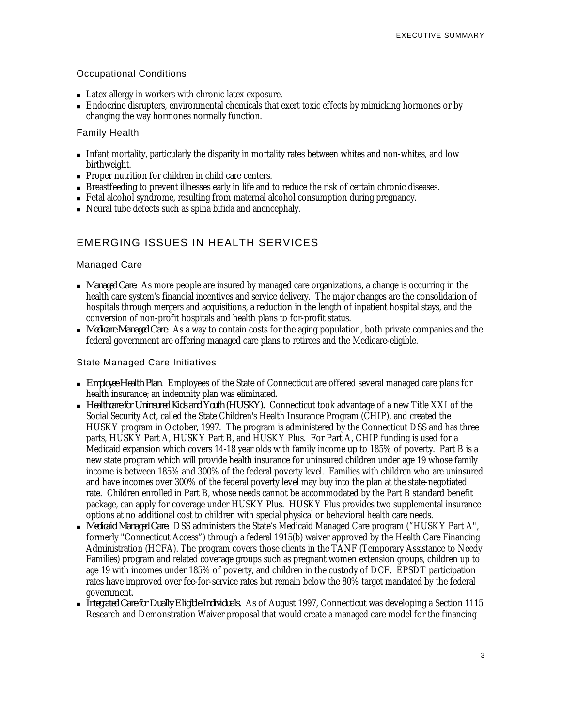### Occupational Conditions

- <sup>n</sup> Latex allergy in workers with chronic latex exposure.
- <sup>n</sup> Endocrine disrupters, environmental chemicals that exert toxic effects by mimicking hormones or by changing the way hormones normally function.

### Family Health

- Infant mortality, particularly the disparity in mortality rates between whites and non-whites, and low birthweight.
- <sup>n</sup> Proper nutrition for children in child care centers.
- <sup>n</sup> Breastfeeding to prevent illnesses early in life and to reduce the risk of certain chronic diseases.
- <sup>n</sup> Fetal alcohol syndrome, resulting from maternal alcohol consumption during pregnancy.
- <sup>n</sup> Neural tube defects such as spina bifida and anencephaly.

### EMERGING ISSUES IN HEALTH SERVICES

### Managed Care

- <sup>n</sup> *Managed Care.* As more people are insured by managed care organizations, a change is occurring in the health care system's financial incentives and service delivery. The major changes are the consolidation of hospitals through mergers and acquisitions, a reduction in the length of inpatient hospital stays, and the conversion of non-profit hospitals and health plans to for-profit status.
- <sup>n</sup> *Medicare Managed Care*. As a way to contain costs for the aging population, both private companies and the federal government are offering managed care plans to retirees and the Medicare-eligible.

### State Managed Care Initiatives

- <sup>n</sup> *Employee Health Plan*. Employees of the State of Connecticut are offered several managed care plans for health insurance; an indemnity plan was eliminated.
- <sup>n</sup> *Healthcare for Uninsured Kids and Youth (HUSKY).* Connecticut took advantage of a new Title XXI of the Social Security Act, called the State Children's Health Insurance Program (CHIP), and created the HUSKY program in October, 1997. The program is administered by the Connecticut DSS and has three parts, HUSKY Part A, HUSKY Part B, and HUSKY Plus. For Part A, CHIP funding is used for a Medicaid expansion which covers 14-18 year olds with family income up to 185% of poverty. Part B is a new state program which will provide health insurance for uninsured children under age 19 whose family income is between 185% and 300% of the federal poverty level. Families with children who are uninsured and have incomes over 300% of the federal poverty level may buy into the plan at the state-negotiated rate. Children enrolled in Part B, whose needs cannot be accommodated by the Part B standard benefit package, can apply for coverage under HUSKY Plus. HUSKY Plus provides two supplemental insurance options at no additional cost to children with special physical or behavioral health care needs.
- <sup>n</sup> *Medicaid Managed Care.* DSS administers the State's Medicaid Managed Care program ("HUSKY Part A", formerly "Connecticut Access") through a federal 1915(b) waiver approved by the Health Care Financing Administration (HCFA). The program covers those clients in the TANF (Temporary Assistance to Needy Families) program and related coverage groups such as pregnant women extension groups, children up to age 19 with incomes under 185% of poverty, and children in the custody of DCF. EPSDT participation rates have improved over fee-for-service rates but remain below the 80% target mandated by the federal government.
- <sup>n</sup> *Integrated Care for Dually Eligible Individuals.* As of August 1997, Connecticut was developing a Section 1115 Research and Demonstration Waiver proposal that would create a managed care model for the financing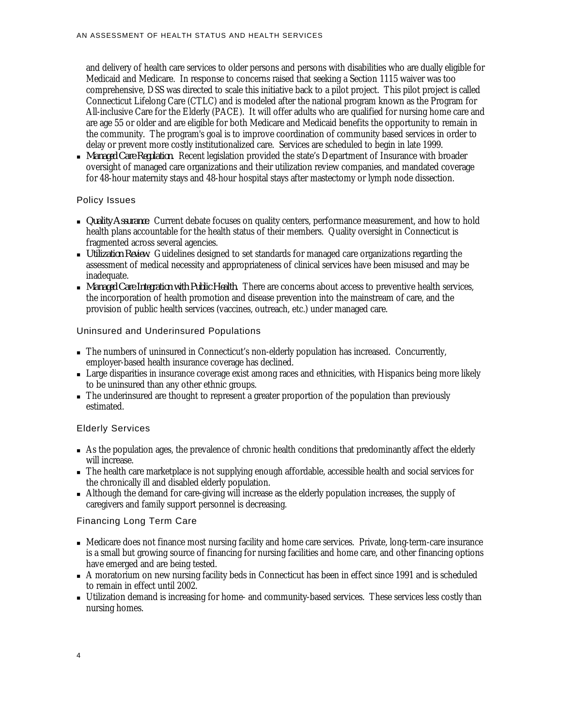and delivery of health care services to older persons and persons with disabilities who are dually eligible for Medicaid and Medicare. In response to concerns raised that seeking a Section 1115 waiver was too comprehensive, DSS was directed to scale this initiative back to a pilot project. This pilot project is called Connecticut Lifelong Care (CTLC) and is modeled after the national program known as the Program for All-inclusive Care for the Elderly (PACE). It will offer adults who are qualified for nursing home care and are age 55 or older and are eligible for both Medicare and Medicaid benefits the opportunity to remain in the community. The program's goal is to improve coordination of community based services in order to delay or prevent more costly institutionalized care. Services are scheduled to begin in late 1999.

<sup>n</sup> *Managed Care Regulation.* Recent legislation provided the state's Department of Insurance with broader oversight of managed care organizations and their utilization review companies, and mandated coverage for 48-hour maternity stays and 48-hour hospital stays after mastectomy or lymph node dissection.

### Policy Issues

- <sup>n</sup> *Quality Assurance*. Current debate focuses on quality centers, performance measurement, and how to hold health plans accountable for the health status of their members. Quality oversight in Connecticut is fragmented across several agencies.
- <sup>n</sup> *Utilization Review*. Guidelines designed to set standards for managed care organizations regarding the assessment of medical necessity and appropriateness of clinical services have been misused and may be inadequate.
- <sup>n</sup> *Managed Care Integration with Public Health.* There are concerns about access to preventive health services, the incorporation of health promotion and disease prevention into the mainstream of care, and the provision of public health services (vaccines, outreach, etc.) under managed care.

### Uninsured and Underinsured Populations

- <sup>n</sup> The numbers of uninsured in Connecticut's non-elderly population has increased. Concurrently, employer-based health insurance coverage has declined.
- <sup>n</sup> Large disparities in insurance coverage exist among races and ethnicities, with Hispanics being more likely to be uninsured than any other ethnic groups.
- <sup>n</sup> The underinsured are thought to represent a greater proportion of the population than previously estimated.

### Elderly Services

- <sup>n</sup> As the population ages, the prevalence of chronic health conditions that predominantly affect the elderly will increase.
- <sup>n</sup> The health care marketplace is not supplying enough affordable, accessible health and social services for the chronically ill and disabled elderly population.
- <sup>n</sup> Although the demand for care-giving will increase as the elderly population increases, the supply of caregivers and family support personnel is decreasing.

### Financing Long Term Care

- <sup>n</sup> Medicare does not finance most nursing facility and home care services. Private, long-term-care insurance is a small but growing source of financing for nursing facilities and home care, and other financing options have emerged and are being tested.
- <sup>n</sup> A moratorium on new nursing facility beds in Connecticut has been in effect since 1991 and is scheduled to remain in effect until 2002.
- <sup>n</sup> Utilization demand is increasing for home- and community-based services. These services less costly than nursing homes.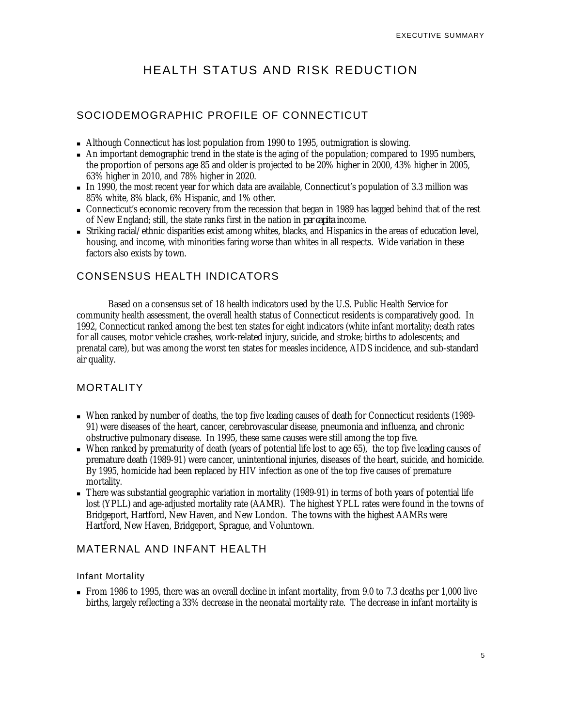# SOCIODEMOGRAPHIC PROFILE OF CONNECTICUT

- $\blacksquare$  Although Connecticut has lost population from 1990 to 1995, outmigration is slowing.
- $\blacksquare$  An important demographic trend in the state is the aging of the population; compared to 1995 numbers, the proportion of persons age 85 and older is projected to be 20% higher in 2000, 43% higher in 2005, 63% higher in 2010, and 78% higher in 2020.
- <sup>n</sup> In 1990, the most recent year for which data are available, Connecticut's population of 3.3 million was 85% white, 8% black, 6% Hispanic, and 1% other.
- <sup>n</sup> Connecticut's economic recovery from the recession that began in 1989 has lagged behind that of the rest of New England; still, the state ranks first in the nation in *per capita* income.
- <sup>n</sup> Striking racial/ethnic disparities exist among whites, blacks, and Hispanics in the areas of education level, housing, and income, with minorities faring worse than whites in all respects. Wide variation in these factors also exists by town.

# CONSENSUS HEALTH INDICATORS

Based on a consensus set of 18 health indicators used by the U.S. Public Health Service for community health assessment, the overall health status of Connecticut residents is comparatively good. In 1992, Connecticut ranked among the best ten states for eight indicators (white infant mortality; death rates for all causes, motor vehicle crashes, work-related injury, suicide, and stroke; births to adolescents; and prenatal care), but was among the worst ten states for measles incidence, AIDS incidence, and sub-standard air quality.

## **MORTALITY**

- <sup>n</sup> When ranked by number of deaths, the top five leading causes of death for Connecticut residents (1989- 91) were diseases of the heart, cancer, cerebrovascular disease, pneumonia and influenza, and chronic obstructive pulmonary disease. In 1995, these same causes were still among the top five.
- <sup>n</sup> When ranked by prematurity of death (years of potential life lost to age 65), the top five leading causes of premature death (1989-91) were cancer, unintentional injuries, diseases of the heart, suicide, and homicide. By 1995, homicide had been replaced by HIV infection as one of the top five causes of premature mortality.
- <sup>n</sup> There was substantial geographic variation in mortality (1989-91) in terms of both years of potential life lost (YPLL) and age-adjusted mortality rate (AAMR). The highest YPLL rates were found in the towns of Bridgeport, Hartford, New Haven, and New London. The towns with the highest AAMRs were Hartford, New Haven, Bridgeport, Sprague, and Voluntown.

# MATERNAL AND INFANT HEALTH

### Infant Mortality

<sup>n</sup> From 1986 to 1995, there was an overall decline in infant mortality, from 9.0 to 7.3 deaths per 1,000 live births, largely reflecting a 33% decrease in the neonatal mortality rate. The decrease in infant mortality is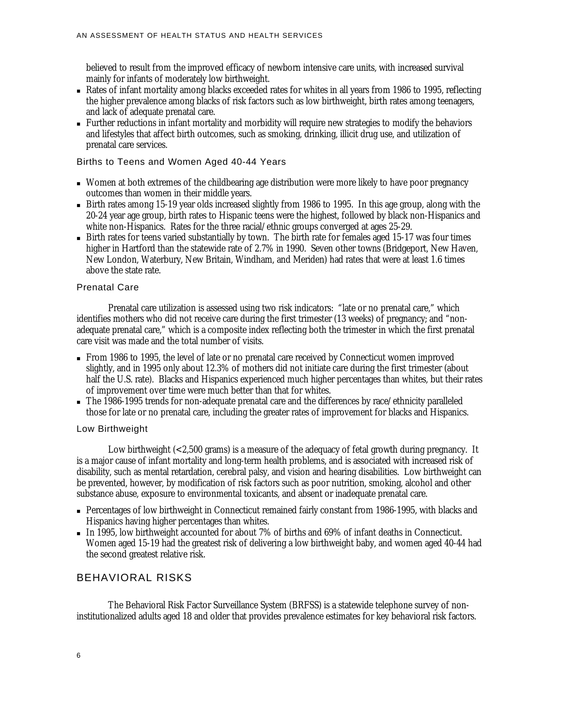believed to result from the improved efficacy of newborn intensive care units, with increased survival mainly for infants of moderately low birthweight.

- <sup>n</sup> Rates of infant mortality among blacks exceeded rates for whites in all years from 1986 to 1995, reflecting the higher prevalence among blacks of risk factors such as low birthweight, birth rates among teenagers, and lack of adequate prenatal care.
- <sup>n</sup> Further reductions in infant mortality and morbidity will require new strategies to modify the behaviors and lifestyles that affect birth outcomes, such as smoking, drinking, illicit drug use, and utilization of prenatal care services.

Births to Teens and Women Aged 40-44 Years

- <sup>n</sup> Women at both extremes of the childbearing age distribution were more likely to have poor pregnancy outcomes than women in their middle years.
- <sup>n</sup> Birth rates among 15-19 year olds increased slightly from 1986 to 1995. In this age group, along with the 20-24 year age group, birth rates to Hispanic teens were the highest, followed by black non-Hispanics and white non-Hispanics. Rates for the three racial/ethnic groups converged at ages 25-29.
- <sup>n</sup> Birth rates for teens varied substantially by town. The birth rate for females aged 15-17 was four times higher in Hartford than the statewide rate of 2.7% in 1990. Seven other towns (Bridgeport, New Haven, New London, Waterbury, New Britain, Windham, and Meriden) had rates that were at least 1.6 times above the state rate.

### Prenatal Care

Prenatal care utilization is assessed using two risk indicators: "late or no prenatal care," which identifies mothers who did not receive care during the first trimester (13 weeks) of pregnancy; and "nonadequate prenatal care," which is a composite index reflecting both the trimester in which the first prenatal care visit was made and the total number of visits.

- <sup>n</sup> From 1986 to 1995, the level of late or no prenatal care received by Connecticut women improved slightly, and in 1995 only about 12.3% of mothers did not initiate care during the first trimester (about half the U.S. rate). Blacks and Hispanics experienced much higher percentages than whites, but their rates of improvement over time were much better than that for whites.
- <sup>n</sup> The 1986-1995 trends for non-adequate prenatal care and the differences by race/ethnicity paralleled those for late or no prenatal care, including the greater rates of improvement for blacks and Hispanics.

#### Low Birthweight

Low birthweight (<2,500 grams) is a measure of the adequacy of fetal growth during pregnancy. It is a major cause of infant mortality and long-term health problems, and is associated with increased risk of disability, such as mental retardation, cerebral palsy, and vision and hearing disabilities. Low birthweight can be prevented, however, by modification of risk factors such as poor nutrition, smoking, alcohol and other substance abuse, exposure to environmental toxicants, and absent or inadequate prenatal care.

- Percentages of low birthweight in Connecticut remained fairly constant from 1986-1995, with blacks and Hispanics having higher percentages than whites.
- <sup>n</sup> In 1995, low birthweight accounted for about 7% of births and 69% of infant deaths in Connecticut. Women aged 15-19 had the greatest risk of delivering a low birthweight baby, and women aged 40-44 had the second greatest relative risk.

### BEHAVIORAL RISKS

The Behavioral Risk Factor Surveillance System (BRFSS) is a statewide telephone survey of noninstitutionalized adults aged 18 and older that provides prevalence estimates for key behavioral risk factors.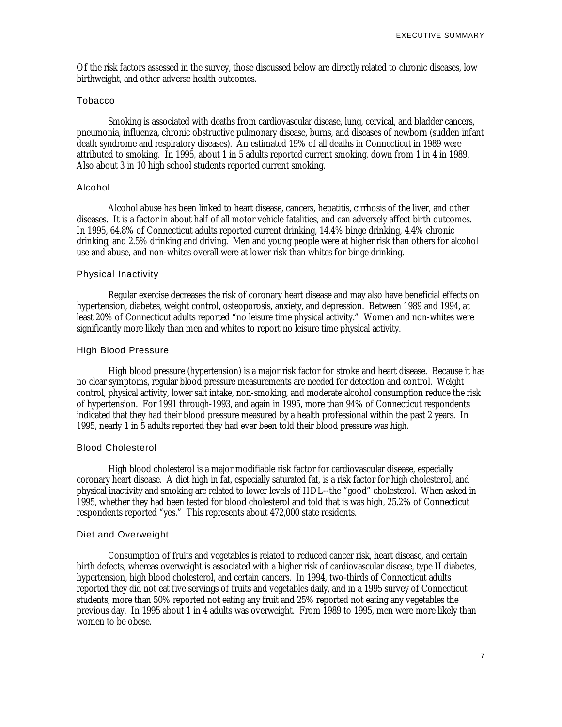Of the risk factors assessed in the survey, those discussed below are directly related to chronic diseases, low birthweight, and other adverse health outcomes.

#### Tobacco

Smoking is associated with deaths from cardiovascular disease, lung, cervical, and bladder cancers, pneumonia, influenza, chronic obstructive pulmonary disease, burns, and diseases of newborn (sudden infant death syndrome and respiratory diseases). An estimated 19% of all deaths in Connecticut in 1989 were attributed to smoking. In 1995, about 1 in 5 adults reported current smoking, down from 1 in 4 in 1989. Also about 3 in 10 high school students reported current smoking.

#### Alcohol

Alcohol abuse has been linked to heart disease, cancers, hepatitis, cirrhosis of the liver, and other diseases. It is a factor in about half of all motor vehicle fatalities, and can adversely affect birth outcomes. In 1995, 64.8% of Connecticut adults reported current drinking, 14.4% binge drinking, 4.4% chronic drinking, and 2.5% drinking and driving. Men and young people were at higher risk than others for alcohol use and abuse, and non-whites overall were at lower risk than whites for binge drinking.

### Physical Inactivity

Regular exercise decreases the risk of coronary heart disease and may also have beneficial effects on hypertension, diabetes, weight control, osteoporosis, anxiety, and depression. Between 1989 and 1994, at least 20% of Connecticut adults reported "no leisure time physical activity." Women and non-whites were significantly more likely than men and whites to report no leisure time physical activity.

### High Blood Pressure

High blood pressure (hypertension) is a major risk factor for stroke and heart disease. Because it has no clear symptoms, regular blood pressure measurements are needed for detection and control. Weight control, physical activity, lower salt intake, non-smoking, and moderate alcohol consumption reduce the risk of hypertension. For 1991 through-1993, and again in 1995, more than 94% of Connecticut respondents indicated that they had their blood pressure measured by a health professional within the past 2 years. In 1995, nearly 1 in 5 adults reported they had ever been told their blood pressure was high.

#### Blood Cholesterol

High blood cholesterol is a major modifiable risk factor for cardiovascular disease, especially coronary heart disease. A diet high in fat, especially saturated fat, is a risk factor for high cholesterol, and physical inactivity and smoking are related to lower levels of HDL--the "good" cholesterol. When asked in 1995, whether they had been tested for blood cholesterol and told that is was high, 25.2% of Connecticut respondents reported "yes." This represents about 472,000 state residents.

### Diet and Overweight

Consumption of fruits and vegetables is related to reduced cancer risk, heart disease, and certain birth defects, whereas overweight is associated with a higher risk of cardiovascular disease, type II diabetes, hypertension, high blood cholesterol, and certain cancers. In 1994, two-thirds of Connecticut adults reported they did not eat five servings of fruits and vegetables daily, and in a 1995 survey of Connecticut students, more than 50% reported not eating any fruit and 25% reported not eating any vegetables the previous day. In 1995 about 1 in 4 adults was overweight. From 1989 to 1995, men were more likely than women to be obese.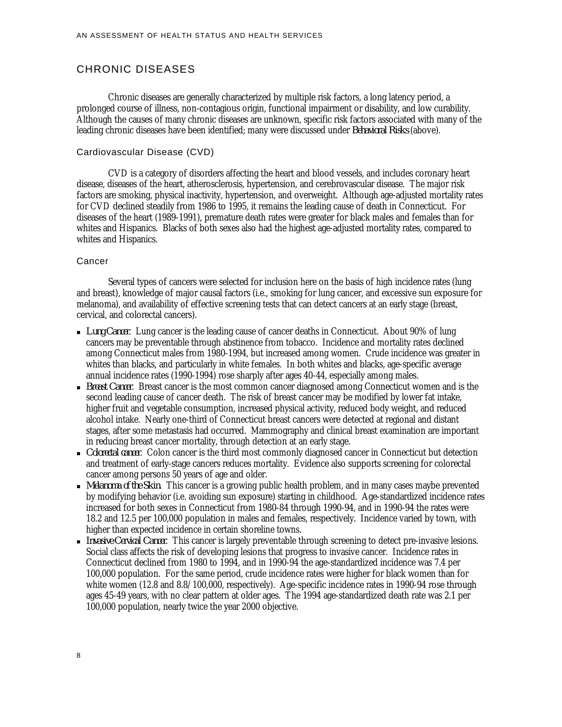### CHRONIC DISEASES

Chronic diseases are generally characterized by multiple risk factors, a long latency period, a prolonged course of illness, non-contagious origin, functional impairment or disability, and low curability. Although the causes of many chronic diseases are unknown, specific risk factors associated with many of the leading chronic diseases have been identified; many were discussed under *Behavioral Risks* (above).

#### Cardiovascular Disease (CVD)

CVD is a category of disorders affecting the heart and blood vessels, and includes coronary heart disease, diseases of the heart, atherosclerosis, hypertension, and cerebrovascular disease. The major risk factors are smoking, physical inactivity, hypertension, and overweight. Although age-adjusted mortality rates for CVD declined steadily from 1986 to 1995, it remains the leading cause of death in Connecticut. For diseases of the heart (1989-1991), premature death rates were greater for black males and females than for whites and Hispanics. Blacks of both sexes also had the highest age-adjusted mortality rates, compared to whites and Hispanics.

#### Cancer

Several types of cancers were selected for inclusion here on the basis of high incidence rates (lung and breast), knowledge of major causal factors (i.e., smoking for lung cancer, and excessive sun exposure for melanoma), and availability of effective screening tests that can detect cancers at an early stage (breast, cervical, and colorectal cancers).

- <sup>n</sup> *Lung Cancer*. Lung cancer is the leading cause of cancer deaths in Connecticut. About 90% of lung cancers may be preventable through abstinence from tobacco. Incidence and mortality rates declined among Connecticut males from 1980-1994, but increased among women. Crude incidence was greater in whites than blacks, and particularly in white females. In both whites and blacks, age-specific average annual incidence rates (1990-1994) rose sharply after ages 40-44, especially among males.
- **Breast Cancer.** Breast cancer is the most common cancer diagnosed among Connecticut women and is the second leading cause of cancer death. The risk of breast cancer may be modified by lower fat intake, higher fruit and vegetable consumption, increased physical activity, reduced body weight, and reduced alcohol intake. Nearly one-third of Connecticut breast cancers were detected at regional and distant stages, after some metastasis had occurred. Mammography and clinical breast examination are important in reducing breast cancer mortality, through detection at an early stage.
- <sup>n</sup> *Colorectal cancer*. Colon cancer is the third most commonly diagnosed cancer in Connecticut but detection and treatment of early-stage cancers reduces mortality. Evidence also supports screening for colorectal cancer among persons 50 years of age and older.
- <sup>n</sup> *Melanoma of the Skin*. This cancer is a growing public health problem, and in many cases maybe prevented by modifying behavior (i.e. avoiding sun exposure) starting in childhood. Age-standardized incidence rates increased for both sexes in Connecticut from 1980-84 through 1990-94, and in 1990-94 the rates were 18.2 and 12.5 per 100,000 population in males and females, respectively. Incidence varied by town, with higher than expected incidence in certain shoreline towns.
- <sup>n</sup> *Invasive Cervical Cancer*. This cancer is largely preventable through screening to detect pre-invasive lesions. Social class affects the risk of developing lesions that progress to invasive cancer. Incidence rates in Connecticut declined from 1980 to 1994, and in 1990-94 the age-standardized incidence was 7.4 per 100,000 population. For the same period, crude incidence rates were higher for black women than for white women (12.8 and 8.8/100,000, respectively). Age-specific incidence rates in 1990-94 rose through ages 45-49 years, with no clear pattern at older ages. The 1994 age-standardized death rate was 2.1 per 100,000 population, nearly twice the year 2000 objective.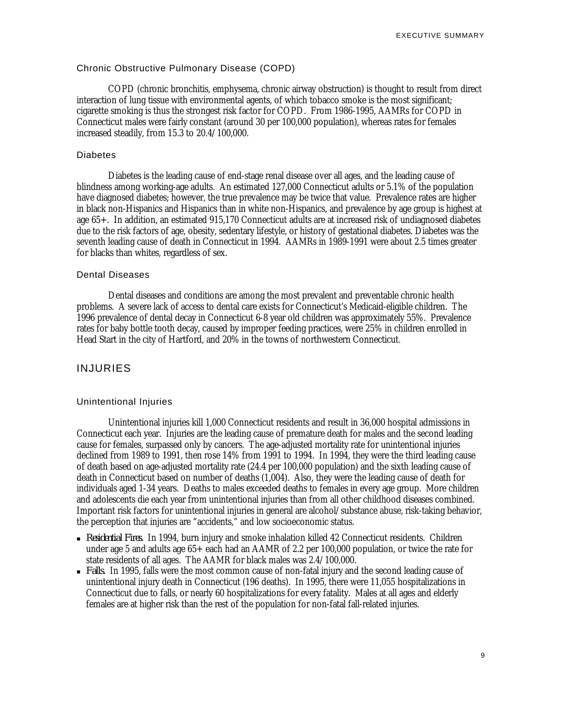### Chronic Obstructive Pulmonary Disease (COPD)

COPD (chronic bronchitis, emphysema, chronic airway obstruction) is thought to result from direct interaction of lung tissue with environmental agents, of which tobacco smoke is the most significant; cigarette smoking is thus the strongest risk factor for COPD. From 1986-1995, AAMRs for COPD in Connecticut males were fairly constant (around 30 per 100,000 population), whereas rates for females increased steadily, from 15.3 to 20.4/100,000.

#### Diabetes

Diabetes is the leading cause of end-stage renal disease over all ages, and the leading cause of blindness among working-age adults. An estimated 127,000 Connecticut adults or 5.1% of the population have diagnosed diabetes; however, the true prevalence may be twice that value. Prevalence rates are higher in black non-Hispanics and Hispanics than in white non-Hispanics, and prevalence by age group is highest at age 65+. In addition, an estimated 915,170 Connecticut adults are at increased risk of undiagnosed diabetes due to the risk factors of age, obesity, sedentary lifestyle, or history of gestational diabetes. Diabetes was the seventh leading cause of death in Connecticut in 1994. AAMRs in 1989-1991 were about 2.5 times greater for blacks than whites, regardless of sex.

#### Dental Diseases

Dental diseases and conditions are among the most prevalent and preventable chronic health problems. A severe lack of access to dental care exists for Connecticut's Medicaid-eligible children. The 1996 prevalence of dental decay in Connecticut 6-8 year old children was approximately 55%. Prevalence rates for baby bottle tooth decay, caused by improper feeding practices, were 25% in children enrolled in Head Start in the city of Hartford, and 20% in the towns of northwestern Connecticut.

### INJURIES

#### Unintentional Injuries

Unintentional injuries kill 1,000 Connecticut residents and result in 36,000 hospital admissions in Connecticut each year. Injuries are the leading cause of premature death for males and the second leading cause for females, surpassed only by cancers. The age-adjusted mortality rate for unintentional injuries declined from 1989 to 1991, then rose 14% from 1991 to 1994. In 1994, they were the third leading cause of death based on age-adjusted mortality rate (24.4 per 100,000 population) and the sixth leading cause of death in Connecticut based on number of deaths (1,004). Also, they were the leading cause of death for individuals aged 1-34 years. Deaths to males exceeded deaths to females in every age group. More children and adolescents die each year from unintentional injuries than from all other childhood diseases combined. Important risk factors for unintentional injuries in general are alcohol/substance abuse, risk-taking behavior, the perception that injuries are "accidents," and low socioeconomic status.

- <sup>n</sup> *Residential Fires.* In 1994, burn injury and smoke inhalation killed 42 Connecticut residents. Children under age 5 and adults age 65+ each had an AAMR of 2.2 per 100,000 population, or twice the rate for state residents of all ages. The AAMR for black males was 2.4/100,000.
- *Falls.* In 1995, falls were the most common cause of non-fatal injury and the second leading cause of unintentional injury death in Connecticut (196 deaths). In 1995, there were 11,055 hospitalizations in Connecticut due to falls, or nearly 60 hospitalizations for every fatality. Males at all ages and elderly females are at higher risk than the rest of the population for non-fatal fall-related injuries.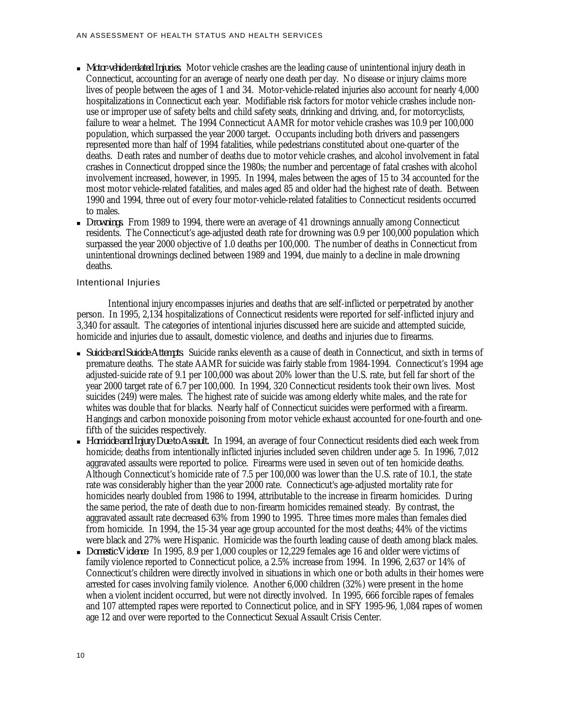- <sup>n</sup> *Motor-vehicle-related Injuries.* Motor vehicle crashes are the leading cause of unintentional injury death in Connecticut, accounting for an average of nearly one death per day. No disease or injury claims more lives of people between the ages of 1 and 34. Motor-vehicle-related injuries also account for nearly 4,000 hospitalizations in Connecticut each year. Modifiable risk factors for motor vehicle crashes include nonuse or improper use of safety belts and child safety seats, drinking and driving, and, for motorcyclists, failure to wear a helmet. The 1994 Connecticut AAMR for motor vehicle crashes was 10.9 per 100,000 population, which surpassed the year 2000 target. Occupants including both drivers and passengers represented more than half of 1994 fatalities, while pedestrians constituted about one-quarter of the deaths. Death rates and number of deaths due to motor vehicle crashes, and alcohol involvement in fatal crashes in Connecticut dropped since the 1980s; the number and percentage of fatal crashes with alcohol involvement increased, however, in 1995. In 1994, males between the ages of 15 to 34 accounted for the most motor vehicle-related fatalities, and males aged 85 and older had the highest rate of death. Between 1990 and 1994, three out of every four motor-vehicle-related fatalities to Connecticut residents occurred to males.
- <sup>n</sup> *Drownings.* From 1989 to 1994, there were an average of 41 drownings annually among Connecticut residents. The Connecticut's age-adjusted death rate for drowning was 0.9 per 100,000 population which surpassed the year 2000 objective of 1.0 deaths per 100,000. The number of deaths in Connecticut from unintentional drownings declined between 1989 and 1994, due mainly to a decline in male drowning deaths.

### Intentional Injuries

Intentional injury encompasses injuries and deaths that are self-inflicted or perpetrated by another person. In 1995, 2,134 hospitalizations of Connecticut residents were reported for self-inflicted injury and 3,340 for assault. The categories of intentional injuries discussed here are suicide and attempted suicide, homicide and injuries due to assault, domestic violence, and deaths and injuries due to firearms.

- <sup>n</sup> *Suicide and Suicide Attempts*. Suicide ranks eleventh as a cause of death in Connecticut, and sixth in terms of premature deaths. The state AAMR for suicide was fairly stable from 1984-1994. Connecticut's 1994 age adjusted-suicide rate of 9.1 per 100,000 was about 20% lower than the U.S. rate, but fell far short of the year 2000 target rate of 6.7 per 100,000. In 1994, 320 Connecticut residents took their own lives. Most suicides (249) were males. The highest rate of suicide was among elderly white males, and the rate for whites was double that for blacks. Nearly half of Connecticut suicides were performed with a firearm. Hangings and carbon monoxide poisoning from motor vehicle exhaust accounted for one-fourth and onefifth of the suicides respectively.
- <sup>n</sup> *Homicide and Injury Due to Assault.* In 1994, an average of four Connecticut residents died each week from homicide; deaths from intentionally inflicted injuries included seven children under age 5. In 1996, 7,012 aggravated assaults were reported to police. Firearms were used in seven out of ten homicide deaths. Although Connecticut's homicide rate of 7.5 per 100,000 was lower than the U.S. rate of 10.1, the state rate was considerably higher than the year 2000 rate. Connecticut's age-adjusted mortality rate for homicides nearly doubled from 1986 to 1994, attributable to the increase in firearm homicides. During the same period, the rate of death due to non-firearm homicides remained steady. By contrast, the aggravated assault rate decreased 63% from 1990 to 1995. Three times more males than females died from homicide. In 1994, the 15-34 year age group accounted for the most deaths; 44% of the victims were black and 27% were Hispanic. Homicide was the fourth leading cause of death among black males.
- <sup>n</sup> *Domestic Violence*. In 1995, 8.9 per 1,000 couples or 12,229 females age 16 and older were victims of family violence reported to Connecticut police, a 2.5% increase from 1994. In 1996, 2,637 or 14% of Connecticut's children were directly involved in situations in which one or both adults in their homes were arrested for cases involving family violence. Another 6,000 children (32%) were present in the home when a violent incident occurred, but were not directly involved. In 1995, 666 forcible rapes of females and 107 attempted rapes were reported to Connecticut police, and in SFY 1995-96, 1,084 rapes of women age 12 and over were reported to the Connecticut Sexual Assault Crisis Center.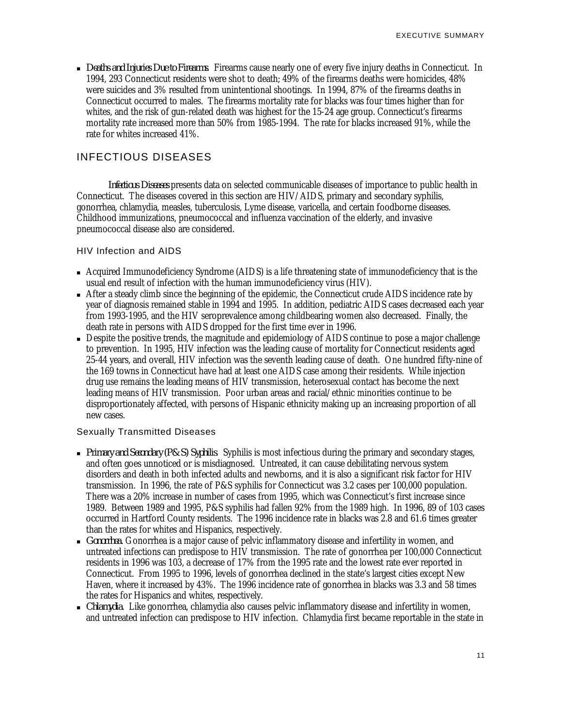<sup>n</sup> *Deaths and Injuries Due to Firearms*. Firearms cause nearly one of every five injury deaths in Connecticut. In 1994, 293 Connecticut residents were shot to death; 49% of the firearms deaths were homicides, 48% were suicides and 3% resulted from unintentional shootings. In 1994, 87% of the firearms deaths in Connecticut occurred to males. The firearms mortality rate for blacks was four times higher than for whites, and the risk of gun-related death was highest for the 15-24 age group. Connecticut's firearms mortality rate increased more than 50% from 1985-1994. The rate for blacks increased 91%, while the rate for whites increased 41%.

## INFECTIOUS DISEASES

*Infectious Diseases* presents data on selected communicable diseases of importance to public health in Connecticut. The diseases covered in this section are HIV/AIDS, primary and secondary syphilis, gonorrhea, chlamydia, measles, tuberculosis, Lyme disease, varicella, and certain foodborne diseases. Childhood immunizations, pneumococcal and influenza vaccination of the elderly, and invasive pneumococcal disease also are considered.

### HIV Infection and AIDS

- <sup>n</sup> Acquired Immunodeficiency Syndrome (AIDS) is a life threatening state of immunodeficiency that is the usual end result of infection with the human immunodeficiency virus (HIV).
- <sup>n</sup> After a steady climb since the beginning of the epidemic, the Connecticut crude AIDS incidence rate by year of diagnosis remained stable in 1994 and 1995. In addition, pediatric AIDS cases decreased each year from 1993-1995, and the HIV seroprevalence among childbearing women also decreased. Finally, the death rate in persons with AIDS dropped for the first time ever in 1996.
- <sup>n</sup> Despite the positive trends, the magnitude and epidemiology of AIDS continue to pose a major challenge to prevention. In 1995, HIV infection was the leading cause of mortality for Connecticut residents aged 25-44 years, and overall, HIV infection was the seventh leading cause of death. One hundred fifty-nine of the 169 towns in Connecticut have had at least one AIDS case among their residents. While injection drug use remains the leading means of HIV transmission, heterosexual contact has become the next leading means of HIV transmission. Poor urban areas and racial/ethnic minorities continue to be disproportionately affected, with persons of Hispanic ethnicity making up an increasing proportion of all new cases.

### Sexually Transmitted Diseases

- <sup>n</sup> *Primary and Secondary (P&S) Syphilis*. Syphilis is most infectious during the primary and secondary stages, and often goes unnoticed or is misdiagnosed. Untreated, it can cause debilitating nervous system disorders and death in both infected adults and newborns, and it is also a significant risk factor for HIV transmission. In 1996, the rate of P&S syphilis for Connecticut was 3.2 cases per 100,000 population. There was a 20% increase in number of cases from 1995, which was Connecticut's first increase since 1989. Between 1989 and 1995, P&S syphilis had fallen 92% from the 1989 high. In 1996, 89 of 103 cases occurred in Hartford County residents. The 1996 incidence rate in blacks was 2.8 and 61.6 times greater than the rates for whites and Hispanics, respectively.
- <sup>n</sup> *Gonorrhea.* Gonorrhea is a major cause of pelvic inflammatory disease and infertility in women, and untreated infections can predispose to HIV transmission. The rate of gonorrhea per 100,000 Connecticut residents in 1996 was 103, a decrease of 17% from the 1995 rate and the lowest rate ever reported in Connecticut. From 1995 to 1996, levels of gonorrhea declined in the state's largest cities except New Haven, where it increased by 43%. The 1996 incidence rate of gonorrhea in blacks was 3.3 and 58 times the rates for Hispanics and whites, respectively.
- <sup>n</sup> *Chlamydia*. Like gonorrhea, chlamydia also causes pelvic inflammatory disease and infertility in women, and untreated infection can predispose to HIV infection. Chlamydia first became reportable in the state in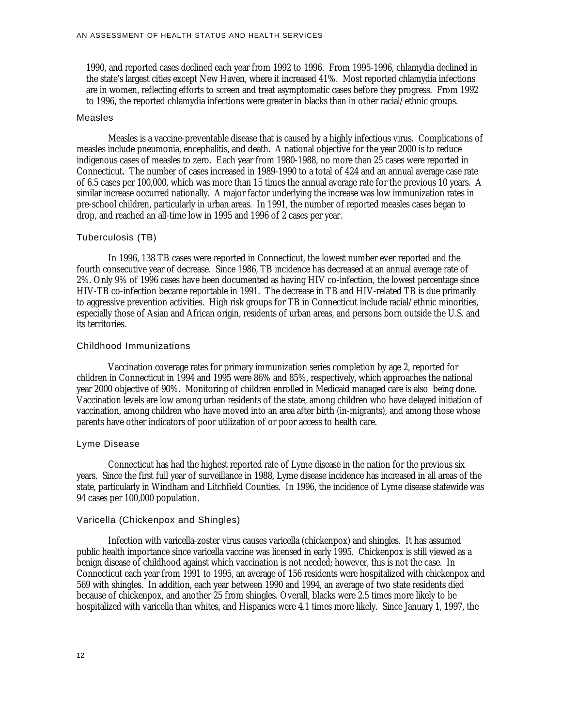1990, and reported cases declined each year from 1992 to 1996. From 1995-1996, chlamydia declined in the state's largest cities except New Haven, where it increased 41%. Most reported chlamydia infections are in women, reflecting efforts to screen and treat asymptomatic cases before they progress. From 1992 to 1996, the reported chlamydia infections were greater in blacks than in other racial/ethnic groups.

#### Measles

Measles is a vaccine-preventable disease that is caused by a highly infectious virus. Complications of measles include pneumonia, encephalitis, and death. A national objective for the year 2000 is to reduce indigenous cases of measles to zero. Each year from 1980-1988, no more than 25 cases were reported in Connecticut. The number of cases increased in 1989-1990 to a total of 424 and an annual average case rate of 6.5 cases per 100,000, which was more than 15 times the annual average rate for the previous 10 years. A similar increase occurred nationally. A major factor underlying the increase was low immunization rates in pre-school children, particularly in urban areas. In 1991, the number of reported measles cases began to drop, and reached an all-time low in 1995 and 1996 of 2 cases per year.

#### Tuberculosis (TB)

In 1996, 138 TB cases were reported in Connecticut, the lowest number ever reported and the fourth consecutive year of decrease. Since 1986, TB incidence has decreased at an annual average rate of 2%. Only 9% of 1996 cases have been documented as having HIV co-infection, the lowest percentage since HIV-TB co-infection became reportable in 1991. The decrease in TB and HIV-related TB is due primarily to aggressive prevention activities. High risk groups for TB in Connecticut include racial/ethnic minorities, especially those of Asian and African origin, residents of urban areas, and persons born outside the U.S. and its territories.

#### Childhood Immunizations

Vaccination coverage rates for primary immunization series completion by age 2, reported for children in Connecticut in 1994 and 1995 were 86% and 85%, respectively, which approaches the national year 2000 objective of 90%. Monitoring of children enrolled in Medicaid managed care is also being done. Vaccination levels are low among urban residents of the state, among children who have delayed initiation of vaccination, among children who have moved into an area after birth (in-migrants), and among those whose parents have other indicators of poor utilization of or poor access to health care.

#### Lyme Disease

Connecticut has had the highest reported rate of Lyme disease in the nation for the previous six years. Since the first full year of surveillance in 1988, Lyme disease incidence has increased in all areas of the state, particularly in Windham and Litchfield Counties. In 1996, the incidence of Lyme disease statewide was 94 cases per 100,000 population.

#### Varicella (Chickenpox and Shingles)

Infection with varicella-zoster virus causes varicella (chickenpox) and shingles. It has assumed public health importance since varicella vaccine was licensed in early 1995. Chickenpox is still viewed as a benign disease of childhood against which vaccination is not needed; however, this is not the case. In Connecticut each year from 1991 to 1995, an average of 156 residents were hospitalized with chickenpox and 569 with shingles. In addition, each year between 1990 and 1994, an average of two state residents died because of chickenpox, and another 25 from shingles. Overall, blacks were 2.5 times more likely to be hospitalized with varicella than whites, and Hispanics were 4.1 times more likely. Since January 1, 1997, the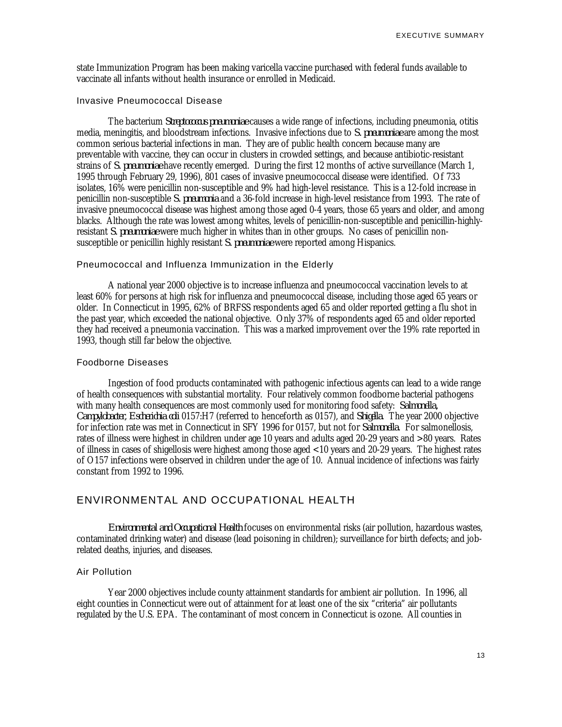state Immunization Program has been making varicella vaccine purchased with federal funds available to vaccinate all infants without health insurance or enrolled in Medicaid.

### Invasive Pneumococcal Disease

The bacterium *Streptococcus pneumoniae* causes a wide range of infections, including pneumonia, otitis media, meningitis, and bloodstream infections. Invasive infections due to *S. pneumoniae* are among the most common serious bacterial infections in man. They are of public health concern because many are preventable with vaccine, they can occur in clusters in crowded settings, and because antibiotic-resistant strains of *S. pneumoniae* have recently emerged. During the first 12 months of active surveillance (March 1, 1995 through February 29, 1996), 801 cases of invasive pneumococcal disease were identified. Of 733 isolates, 16% were penicillin non-susceptible and 9% had high-level resistance. This is a 12-fold increase in penicillin non-susceptible *S. pneumonia* and a 36-fold increase in high-level resistance from 1993. The rate of invasive pneumococcal disease was highest among those aged 0-4 years, those 65 years and older, and among blacks. Although the rate was lowest among whites, levels of penicillin-non-susceptible and penicillin-highlyresistant *S. pneumoniae* were much higher in whites than in other groups. No cases of penicillin nonsusceptible or penicillin highly resistant *S. pneumoniae* were reported among Hispanics.

#### Pneumococcal and Influenza Immunization in the Elderly

A national year 2000 objective is to increase influenza and pneumococcal vaccination levels to at least 60% for persons at high risk for influenza and pneumococcal disease, including those aged 65 years or older. In Connecticut in 1995, 62% of BRFSS respondents aged 65 and older reported getting a flu shot in the past year, which exceeded the national objective. Only 37% of respondents aged 65 and older reported they had received a pneumonia vaccination. This was a marked improvement over the 19% rate reported in 1993, though still far below the objective.

#### Foodborne Diseases

Ingestion of food products contaminated with pathogenic infectious agents can lead to a wide range of health consequences with substantial mortality. Four relatively common foodborne bacterial pathogens with many health consequences are most commonly used for monitoring food safety: *Salmonella, Campylobacter, Escherichia coli* 0157:H7 (referred to henceforth as 0157), and *Shigella*. The year 2000 objective for infection rate was met in Connecticut in SFY 1996 for 0157, but not for *Salmonella*. For salmonellosis, rates of illness were highest in children under age 10 years and adults aged 20-29 years and >80 years. Rates of illness in cases of shigellosis were highest among those aged <10 years and 20-29 years. The highest rates of O157 infections were observed in children under the age of 10. Annual incidence of infections was fairly constant from 1992 to 1996.

### ENVIRONMENTAL AND OCCUPATIONAL HEALTH

*Environmental and Occupational Health* focuses on environmental risks (air pollution, hazardous wastes, contaminated drinking water) and disease (lead poisoning in children); surveillance for birth defects; and jobrelated deaths, injuries, and diseases.

#### Air Pollution

Year 2000 objectives include county attainment standards for ambient air pollution. In 1996, all eight counties in Connecticut were out of attainment for at least one of the six "criteria" air pollutants regulated by the U.S. EPA. The contaminant of most concern in Connecticut is ozone. All counties in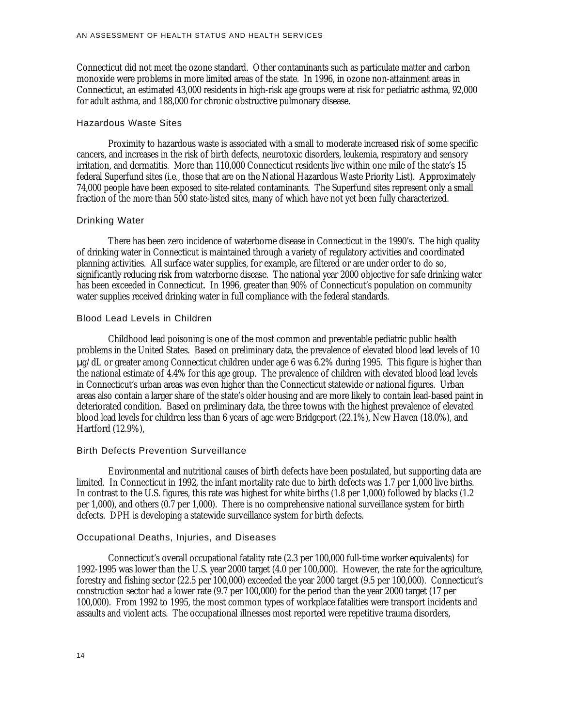Connecticut did not meet the ozone standard. Other contaminants such as particulate matter and carbon monoxide were problems in more limited areas of the state. In 1996, in ozone non-attainment areas in Connecticut, an estimated 43,000 residents in high-risk age groups were at risk for pediatric asthma, 92,000 for adult asthma, and 188,000 for chronic obstructive pulmonary disease.

#### Hazardous Waste Sites

Proximity to hazardous waste is associated with a small to moderate increased risk of some specific cancers, and increases in the risk of birth defects, neurotoxic disorders, leukemia, respiratory and sensory irritation, and dermatitis. More than 110,000 Connecticut residents live within one mile of the state's 15 federal Superfund sites (i.e., those that are on the National Hazardous Waste Priority List). Approximately 74,000 people have been exposed to site-related contaminants. The Superfund sites represent only a small fraction of the more than 500 state-listed sites, many of which have not yet been fully characterized.

#### Drinking Water

There has been zero incidence of waterborne disease in Connecticut in the 1990's. The high quality of drinking water in Connecticut is maintained through a variety of regulatory activities and coordinated planning activities. All surface water supplies, for example, are filtered or are under order to do so, significantly reducing risk from waterborne disease. The national year 2000 objective for safe drinking water has been exceeded in Connecticut. In 1996, greater than 90% of Connecticut's population on community water supplies received drinking water in full compliance with the federal standards.

#### Blood Lead Levels in Children

Childhood lead poisoning is one of the most common and preventable pediatric public health problems in the United States. Based on preliminary data, the prevalence of elevated blood lead levels of 10 μg/dL or greater among Connecticut children under age 6 was 6.2% during 1995. This figure is higher than the national estimate of 4.4% for this age group. The prevalence of children with elevated blood lead levels in Connecticut's urban areas was even higher than the Connecticut statewide or national figures. Urban areas also contain a larger share of the state's older housing and are more likely to contain lead-based paint in deteriorated condition. Based on preliminary data, the three towns with the highest prevalence of elevated blood lead levels for children less than 6 years of age were Bridgeport (22.1%), New Haven (18.0%), and Hartford (12.9%),

#### Birth Defects Prevention Surveillance

Environmental and nutritional causes of birth defects have been postulated, but supporting data are limited. In Connecticut in 1992, the infant mortality rate due to birth defects was 1.7 per 1,000 live births. In contrast to the U.S. figures, this rate was highest for white births (1.8 per 1,000) followed by blacks (1.2 per 1,000), and others (0.7 per 1,000). There is no comprehensive national surveillance system for birth defects. DPH is developing a statewide surveillance system for birth defects.

#### Occupational Deaths, Injuries, and Diseases

Connecticut's overall occupational fatality rate (2.3 per 100,000 full-time worker equivalents) for 1992-1995 was lower than the U.S. year 2000 target (4.0 per 100,000). However, the rate for the agriculture, forestry and fishing sector (22.5 per 100,000) exceeded the year 2000 target (9.5 per 100,000). Connecticut's construction sector had a lower rate (9.7 per 100,000) for the period than the year 2000 target (17 per 100,000). From 1992 to 1995, the most common types of workplace fatalities were transport incidents and assaults and violent acts. The occupational illnesses most reported were repetitive trauma disorders,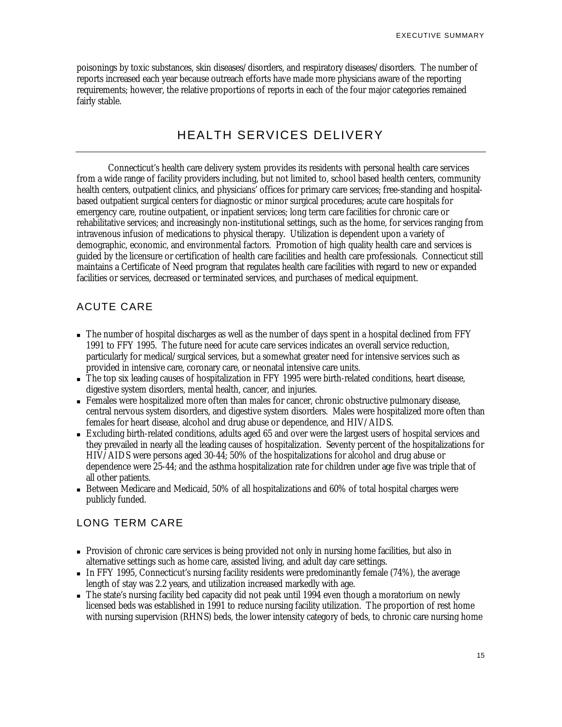poisonings by toxic substances, skin diseases/disorders, and respiratory diseases/disorders. The number of reports increased each year because outreach efforts have made more physicians aware of the reporting requirements; however, the relative proportions of reports in each of the four major categories remained fairly stable.

# HEALTH SERVICES DELIVERY

Connecticut's health care delivery system provides its residents with personal health care services from a wide range of facility providers including, but not limited to, school based health centers, community health centers, outpatient clinics, and physicians' offices for primary care services; free-standing and hospitalbased outpatient surgical centers for diagnostic or minor surgical procedures; acute care hospitals for emergency care, routine outpatient, or inpatient services; long term care facilities for chronic care or rehabilitative services; and increasingly non-institutional settings, such as the home, for services ranging from intravenous infusion of medications to physical therapy. Utilization is dependent upon a variety of demographic, economic, and environmental factors. Promotion of high quality health care and services is guided by the licensure or certification of health care facilities and health care professionals. Connecticut still maintains a Certificate of Need program that regulates health care facilities with regard to new or expanded facilities or services, decreased or terminated services, and purchases of medical equipment.

# ACUTE CARE

- <sup>n</sup> The number of hospital discharges as well as the number of days spent in a hospital declined from FFY 1991 to FFY 1995. The future need for acute care services indicates an overall service reduction, particularly for medical/surgical services, but a somewhat greater need for intensive services such as provided in intensive care, coronary care, or neonatal intensive care units.
- The top six leading causes of hospitalization in FFY 1995 were birth-related conditions, heart disease, digestive system disorders, mental health, cancer, and injuries.
- <sup>n</sup> Females were hospitalized more often than males for cancer, chronic obstructive pulmonary disease, central nervous system disorders, and digestive system disorders. Males were hospitalized more often than females for heart disease, alcohol and drug abuse or dependence, and HIV/AIDS.
- <sup>n</sup> Excluding birth-related conditions, adults aged 65 and over were the largest users of hospital services and they prevailed in nearly all the leading causes of hospitalization. Seventy percent of the hospitalizations for HIV/AIDS were persons aged 30-44; 50% of the hospitalizations for alcohol and drug abuse or dependence were 25-44; and the asthma hospitalization rate for children under age five was triple that of all other patients.
- Between Medicare and Medicaid, 50% of all hospitalizations and 60% of total hospital charges were publicly funded.

# LONG TERM CARE

- n Provision of chronic care services is being provided not only in nursing home facilities, but also in alternative settings such as home care, assisted living, and adult day care settings.
- In FFY 1995, Connecticut's nursing facility residents were predominantly female  $(74%)$ , the average length of stay was 2.2 years, and utilization increased markedly with age.
- <sup>n</sup> The state's nursing facility bed capacity did not peak until 1994 even though a moratorium on newly licensed beds was established in 1991 to reduce nursing facility utilization. The proportion of rest home with nursing supervision (RHNS) beds, the lower intensity category of beds, to chronic care nursing home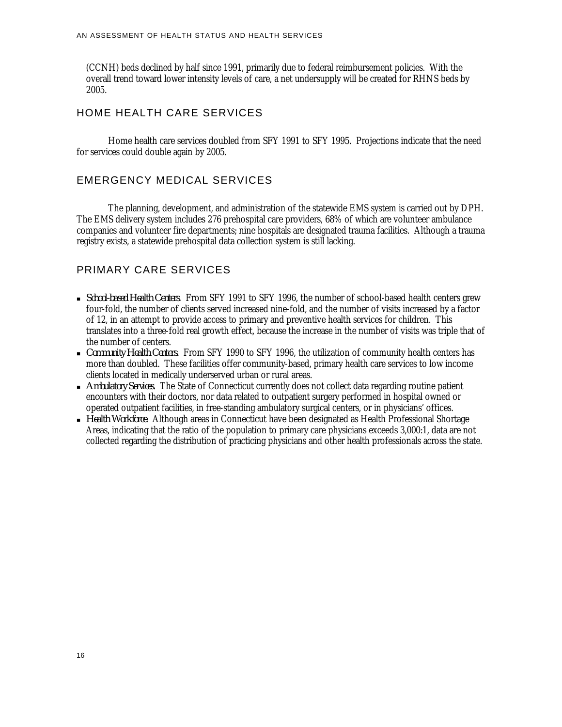(CCNH) beds declined by half since 1991, primarily due to federal reimbursement policies. With the overall trend toward lower intensity levels of care, a net undersupply will be created for RHNS beds by 2005.

## HOME HEALTH CARE SERVICES

Home health care services doubled from SFY 1991 to SFY 1995. Projections indicate that the need for services could double again by 2005.

### EMERGENCY MEDICAL SERVICES

The planning, development, and administration of the statewide EMS system is carried out by DPH. The EMS delivery system includes 276 prehospital care providers, 68% of which are volunteer ambulance companies and volunteer fire departments; nine hospitals are designated trauma facilities. Although a trauma registry exists, a statewide prehospital data collection system is still lacking.

## PRIMARY CARE SERVICES

- <sup>n</sup> *School-based Health Centers*. From SFY 1991 to SFY 1996, the number of school-based health centers grew four-fold, the number of clients served increased nine-fold, and the number of visits increased by a factor of 12, in an attempt to provide access to primary and preventive health services for children. This translates into a three-fold real growth effect, because the increase in the number of visits was triple that of the number of centers.
- <sup>n</sup> *Community Health Centers.* From SFY 1990 to SFY 1996, the utilization of community health centers has more than doubled. These facilities offer community-based, primary health care services to low income clients located in medically underserved urban or rural areas.
- <sup>n</sup> *Ambulatory Services.* The State of Connecticut currently does not collect data regarding routine patient encounters with their doctors, nor data related to outpatient surgery performed in hospital owned or operated outpatient facilities, in free-standing ambulatory surgical centers, or in physicians' offices.
- <sup>n</sup> *Health Workforce.* Although areas in Connecticut have been designated as Health Professional Shortage Areas, indicating that the ratio of the population to primary care physicians exceeds 3,000:1, data are not collected regarding the distribution of practicing physicians and other health professionals across the state.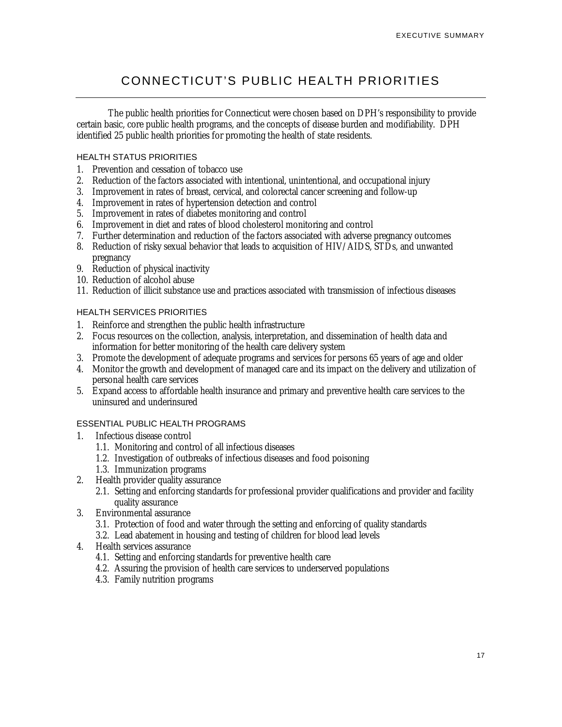# CONNECTICUT'S PUBLIC HEALTH PRIORITIES

The public health priorities for Connecticut were chosen based on DPH's responsibility to provide certain basic, core public health programs, and the concepts of disease burden and modifiability. DPH identified 25 public health priorities for promoting the health of state residents.

### HEALTH STATUS PRIORITIES

- 1. Prevention and cessation of tobacco use
- 2. Reduction of the factors associated with intentional, unintentional, and occupational injury
- 3. Improvement in rates of breast, cervical, and colorectal cancer screening and follow-up
- 4. Improvement in rates of hypertension detection and control
- 5. Improvement in rates of diabetes monitoring and control
- 6. Improvement in diet and rates of blood cholesterol monitoring and control
- 7. Further determination and reduction of the factors associated with adverse pregnancy outcomes
- 8. Reduction of risky sexual behavior that leads to acquisition of HIV/AIDS, STDs, and unwanted pregnancy
- 9. Reduction of physical inactivity
- 10. Reduction of alcohol abuse
- 11. Reduction of illicit substance use and practices associated with transmission of infectious diseases

### HEALTH SERVICES PRIORITIES

- 1. Reinforce and strengthen the public health infrastructure
- 2. Focus resources on the collection, analysis, interpretation, and dissemination of health data and information for better monitoring of the health care delivery system
- 3. Promote the development of adequate programs and services for persons 65 years of age and older
- 4. Monitor the growth and development of managed care and its impact on the delivery and utilization of personal health care services
- 5. Expand access to affordable health insurance and primary and preventive health care services to the uninsured and underinsured

### ESSENTIAL PUBLIC HEALTH PROGRAMS

- 1. Infectious disease control
	- 1.1. Monitoring and control of all infectious diseases
	- 1.2. Investigation of outbreaks of infectious diseases and food poisoning
	- 1.3. Immunization programs
- 2. Health provider quality assurance
	- 2.1. Setting and enforcing standards for professional provider qualifications and provider and facility quality assurance
- 3. Environmental assurance
	- 3.1. Protection of food and water through the setting and enforcing of quality standards
	- 3.2. Lead abatement in housing and testing of children for blood lead levels
- 4. Health services assurance
	- 4.1. Setting and enforcing standards for preventive health care
	- 4.2. Assuring the provision of health care services to underserved populations
	- 4.3. Family nutrition programs